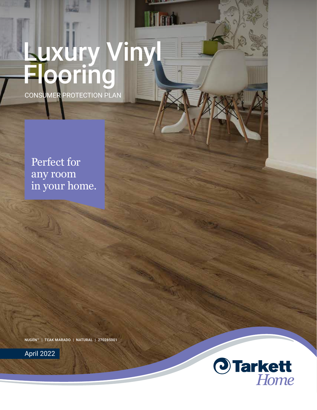# CONSUMER PROTECTION PLAN Luxury Vinyl **Flooring**

Perfect for any room in your home.

NUGEN™ | TEAK MARADO | NATURAL | 270285001



April 2022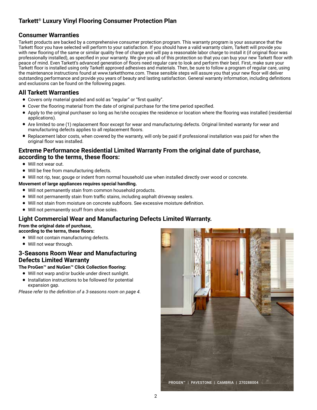# **Tarkett® Luxury Vinyl Flooring Consumer Protection Plan**

## **Consumer Warranties**

Tarkett products are backed by a comprehensive consumer protection program. This warranty program is your assurance that the Tarkett floor you have selected will perform to your satisfaction. If you should have a valid warranty claim, Tarkett will provide you with new flooring of the same or similar quality free of charge and will pay a reasonable labor charge to install it (if original floor was professionally installed), as specified in your warranty. We give you all of this protection so that you can buy your new Tarkett floor with peace of mind. Even Tarkett's advanced generation of floors need regular care to look and perform their best. First, make sure your Tarkett floor is installed using only Tarkett approved adhesives and materials. Then, be sure to follow a program of regular care, using the maintenance instructions found at www.tarketthome.com. These sensible steps will assure you that your new floor will deliver outstanding performance and provide you years of beauty and lasting satisfaction. General warranty information, including definitions and exclusions can be found on the following pages.

## **All Tarkett Warranties**

- Covers only material graded and sold as "regular" or "first quality".
- Cover the flooring material from the date of original purchase for the time period specified.<br>• Apply to the original purchaser so long as he/she occupies the residence or location where
- Apply to the original purchaser so long as he/she occupies the residence or location where the flooring was installed (residential applications).
- Are limited to one (1) replacement floor except for wear and manufacturing defects. Original limited warranty for wear and manufacturing defects applies to all replacement floors.
- Replacement labor costs, when covered by the warranty, will only be paid if professional installation was paid for when the original floor was installed.

## **Extreme Performance Residential Limited Warranty From the original date of purchase, according to the terms, these floors:**

- Will not wear out.
- Will be free from manufacturing defects.
- Will not rip, tear, gouge or indent from normal household use when installed directly over wood or concrete.

#### **Movement of large appliances requires special handling.**

- Will not permanently stain from common household products.
- Will not permanently stain from traffic stains, including asphalt driveway sealers.
- Will not stain from moisture on concrete subfloors. See excessive moisture definition.
- Will not permanently scuff from shoe soles.

## **Light Commercial Wear and Manufacturing Defects Limited Warranty.**

#### **From the original date of purchase,**

**according to the terms, these floors:**

- Will not contain manufacturing defects.
- Will not wear through.

## **3-Seasons Room Wear and Manufacturing Defects Limited Warranty**

#### **The ProGen™ and NuGen™ Click Collection flooring:**

- Will not warp and/or buckle under direct sunlight.
- Installation instructions to be followed for potential expansion gap.

*Please refer to the definition of a 3-seasons room on page 4.*

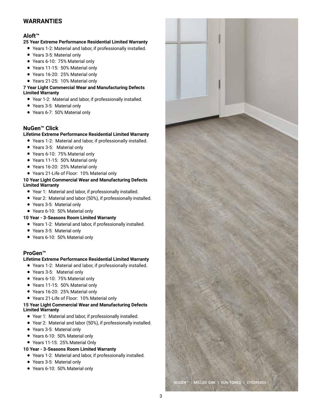# **WARRANTIES**

### **Aloft™**

#### **25 Year Extreme Performance Residential Limited Warranty**

- Years 1-2: Material and labor, if professionally installed.
- Years 3-5: Material only
- Years 6-10: 75% Material only
- Years 11-15: 50% Material only
- Years 16-20: 25% Material only
- Years 21-25: 10% Material only

#### **7 Year Light Commercial Wear and Manufacturing Defects Limited Warranty**

- Year 1-2: Material and labor, if professionally installed.
- Years 3-5: Material only
- Years 6-7: 50% Material only

## **NuGen™ Click**

#### **Lifetime Extreme Performance Residential Limited Warranty**

- Years 1-2: Material and labor, if professionally installed.
- Years 3-5: Material only
- Years 6-10: 75% Material only
- Years 11-15: 50% Material only
- Years 16-20: 25% Material only
- Years 21-Life of Floor: 10% Material only

#### **10 Year Light Commercial Wear and Manufacturing Defects Limited Warranty**

- Year 1: Material and labor, if professionally installed.
- Year 2: Material and labor (50%), if professionally installed.
- Years 3-5: Material only
- Years 6-10: 50% Material only

#### **10 Year - 3-Seasons Room Limited Warranty**

- Years 1-2: Material and labor, if professionally installed.
- Years 3-5: Material only
- Years 6-10: 50% Material only

## **ProGen™**

#### **Lifetime Extreme Performance Residential Limited Warranty**

- Years 1-2: Material and labor, if professionally installed.
- Years 3-5: Material only
- Years 6-10: 75% Material only
- Years 11-15: 50% Material only
- Years 16-20: 25% Material only
- Years 21-Life of Floor: 10% Material only

#### **15 Year Light Commercial Wear and Manufacturing Defects Limited Warranty**

- Year 1: Material and labor, if professionally installed.
- Year 2: Material and labor (50%), if professionally installed.
- Years 3-5: Material only
- Years 6-10: 50% Material only
- Years 11-15: 25% Material Only
- **10 Year 3-Seasons Room Limited Warranty**
- Years 1-2: Material and labor, if professionally installed.
- Years 3-5: Material only
- Years 6-10: 50% Material only

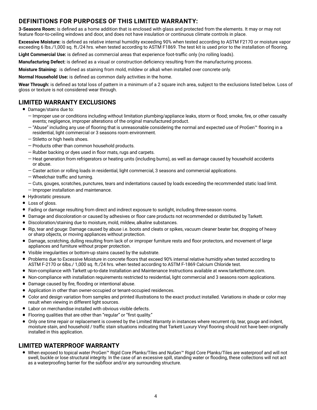# **DEFINITIONS FOR PURPOSES OF THIS LIMITED WARRANTY:**

**3-Seasons Room:** is defined as a home addition that is enclosed with glass and protected from the elements. It may or may not feature floor-to-ceiling windows and door, and does not have insulation or continuous climate controls in place.

**Excessive Moisture:** is defined as relative internal humidity exceeding 90% when tested according to ASTM F2170 or moisture vapor exceeding 6 lbs./1,000 sq. ft./24 hrs. when tested according to ASTM F1869. The test kit is used prior to the installation of flooring.

**Light Commercial Use:** is defined as commercial areas that experience foot-traffic only (no rolling loads).

**Manufacturing Defect:** is defined as a visual or construction deficiency resulting from the manufacturing process.

**Moisture Staining:** is defined as staining from mold, mildew or alkali when installed over concrete only.

**Normal Household Use:** is defined as common daily activities in the home.

**Wear Through:** is defined as total loss of pattern in a minimum of a 2 square inch area, subject to the exclusions listed below. Loss of gloss or texture is not considered wear through.

## **LIMITED WARRANTY EXCLUSIONS**

- Damage/stains due to:
	- Improper use or conditions including without limitation plumbing/appliance leaks, storm or flood; smoke, fire, or other casualty events; negligence, improper alterations of the original manufactured product.
	- "Abuse" including any use of flooring that is unreasonable considering the normal and expected use of ProGen™ flooring in a residential, light commercial or 3 seasons room environment.
	- Stiletto or high heels shoes.
	- Products other than common household products.
	- Rubber backing or dyes used in floor mats, rugs and carpets.
	- Heat generation from refrigerators or heating units (including burns), as well as damage caused by household accidents or abuse.
	- Caster action or rolling loads in residential, light commercial, 3 seasons and commercial applications.
	- Wheelchair traffic and turning.
	- Cuts, gouges, scratches, punctures, tears and indentations caused by loads exceeding the recommended static load limit. — Improper installation and maintenance.
- Hydrostatic pressure.
- Loss of gloss.
- Fading or damage resulting from direct and indirect exposure to sunlight, including three-season rooms.
- Damage and discoloration or caused by adhesives or floor care products not recommended or distributed by Tarkett.
- Discoloration/staining due to moisture, mold, mildew, alkaline substances.
- Rip, tear and gouge: Damage caused by abuse i.e. boots and cleats or spikes, vacuum cleaner beater bar, dropping of heavy or sharp objects, or moving appliances without protection.
- Damage, scratching, dulling resulting from lack of or improper furniture rests and floor protectors, and movement of large appliances and furniture without proper protection.
- Visible irregularities or bottom-up stains caused by the substrate.
- Problems due to Excessive Moisture in concrete floors that exceed 90% internal relative humidity when tested according to ASTM F-2170 or 6lbs./ 1,000 sq. ft./24 hrs. when tested according to ASTM F-1869 Calcium Chloride test.
- Non-compliance with Tarkett up-to-date Installation and Maintenance Instructions available at www.tarketthome.com.
- Non-compliance with installation requirements restricted to residential, light commercial and 3 seasons room applications.
- Damage caused by fire, flooding or intentional abuse.
- Application in other than owner-occupied or tenant-occupied residences.
- Color and design variation from samples and printed illustrations to the exact product installed. Variations in shade or color may result when viewing in different light sources.
- Labor on merchandise installed with obvious visible defects.
- Flooring qualities that are other than "regular" or "first quality."
- Only one time repair or replacement is covered by the Limited Warranty in instances where recurrent rip, tear, gouge and indent, moisture stain, and household / traffic stain situations indicating that Tarkett Luxury Vinyl flooring should not have been originally installed in this application.

## **LIMITED WATERPROOF WARRANTY**

• When exposed to topical water ProGen™ Rigid Core Planks/Tiles and NuGen™ Rigid Core Planks/Tiles are waterproof and will not swell, buckle or lose structural integrity. In the case of an excessive spill, standing water or flooding, these collections will not act as a waterproofing barrier for the subfloor and/or any surrounding structure.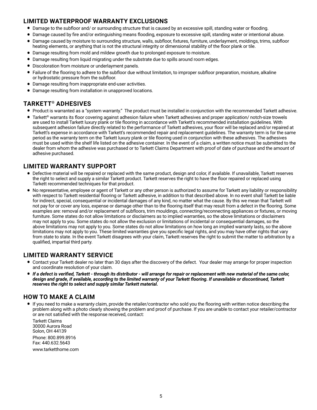# **LIMITED WATERPROOF WARRANTY EXCLUSIONS**

- Damage to the subfloor and/ or surrounding structure that is caused by an excessive spill, standing water or flooding.
- Damage caused by fire and/or extinguishing means flooding, exposure to excessive spill, standing water or intentional abuse.
- Damage caused by moisture to surrounding structure, walls, subfloor, fixtures, furniture, underlayment, moldings, trims, subfloor heating elements, or anything that is not the structural integrity or dimensional stability of the floor plank or tile.
- Damage resulting from mold and mildew growth due to prolonged exposure to moisture.
- Damage resulting from liquid migrating under the substrate due to spills around room edges.
- Discoloration from moisture or underlayment panels.
- Failure of the flooring to adhere to the subfloor due without limitation, to improper subfloor preparation, moisture, alkaline or hydrostatic pressure from the subfloor.
- Damage resulting from inappropriate end-user activities.
- Damage resulting from installation in unapproved locations.

# **TARKETT® ADHESIVES**

- Product is warranted as a "system warranty." The product must be installed in conjunction with the recommended Tarkett adhesive.
- Tarkett® warrants its floor covering against adhesion failure when Tarkett adhesives and proper application/ notch-size trowels are used to install Tarkett luxury plank or tile flooring in accordance with Tarkett's recommended installation guidelines. With subsequent adhesion failure directly related to the performance of Tarkett adhesives, your floor will be replaced and/or repaired at Tarkett's expense in accordance with Tarkett's recommended repair and replacement guidelines. The warranty term is for the same period as the warranty term on the Tarkett luxury plank or tile flooring used in conjunction with these adhesives. The adhesives must be used within the shelf life listed on the adhesive container. In the event of a claim, a written notice must be submitted to the dealer from whom the adhesive was purchased or to Tarkett Claims Department with proof of date of purchase and the amount of adhesive purchased.

# **LIMITED WARRANTY SUPPORT**

- Defective material will be repaired or replaced with the same product, design and color, if available. If unavailable, Tarkett reserves the right to select and supply a similar Tarkett product. Tarkett reserves the right to have the floor repaired or replaced using Tarkett recommended techniques for that product.
- No representative, employee or agent of Tarkett or any other person is authorized to assume for Tarkett any liability or responsibility with respect to Tarkett residential flooring or Tarkett adhesive, in addition to that described above. In no event shall Tarkett be liable for indirect, special, consequential or incidental damages of any kind, no matter what the cause. By this we mean that Tarkett will not pay for or cover any loss, expense or damage other than to the flooring itself that may result from a defect in the flooring. Some examples are: removal and/or replacement of subfloors, trim mouldings, connecting/reconnecting appliances or fixtures, or moving furniture. Some states do not allow limitations or disclaimers as to implied warranties, so the above limitations or disclaimers may not apply to you. Some states do not allow the exclusion or limitations of incidental or consequential damages, so the above limitations may not apply to you. Some states do not allow limitations on how long an implied warranty lasts, so the above limitations may not apply to you. These limited warranties give you specific legal rights, and you may have other rights that vary from state to state. In the event Tarkett disagrees with your claim, Tarkett reserves the right to submit the matter to arbitration by a qualified, impartial third party.

## **LIMITED WARRANTY SERVICE**

- Contact your Tarkett dealer no later than 30 days after the discovery of the defect. Your dealer may arrange for proper inspection and coordinate resolution of your claim.
- *If a defect is verified, Tarkett through its distributor will arrange for repair or replacement with new material of the same color, design and grade, if available, according to the limited warranty of your Tarkett flooring. If unavailable or discontinued, Tarkett reserves the right to select and supply similar Tarkett material.*

## **HOW TO MAKE A CLAIM**

• If you need to make a warranty claim, provide the retailer/contractor who sold you the flooring with written notice describing the problem along with a photo clearly showing the problem and proof of purchase. If you are unable to contact your retailer/contractor or are not satisfied with the response received, contact:

 Tarkett Claims 30000 Aurora Road Solon, OH 44139 Phone: 800.899.8916 Fax: 440.632.5643 www.tarketthome.com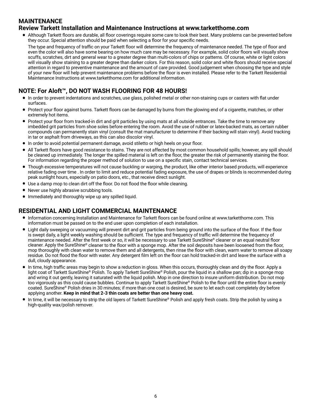# **MAINTENANCE**

## **Review Tarkett Installation and Maintenance Instructions at www.tarketthome.com**

• Although Tarkett floors are durable, all floor coverings require some care to look their best. Many problems can be prevented before they occur. Special attention should be paid when selecting a floor for your specific needs.

The type and frequency of traffic on your Tarkett floor will determine the frequency of maintenance needed. The type of floor and even the color will also have some bearing on how much care may be necessary. For example, solid color floors will visually show scuffs, scratches, dirt and general wear to a greater degree than multi-colors of chips or patterns. Of course, white or light colors will visually show staining to a greater degree than darker colors. For this reason, solid color and white floors should receive special attention in regard to preventive maintenance and the amount of care provided. Good judgement when choosing the type and style of your new floor will help prevent maintenance problems before the floor is even installed. Please refer to the Tarkett Residential Maintenance Instructions at www.tarketthome.com for additional information.

# **NOTE: For Aloft™, DO NOT WASH FLOORING FOR 48 HOURS!**

- In order to prevent indentations and scratches, use glass, polished metal or other non-staining cups or casters with flat under surfaces.
- Protect your floor against burns. Tarkett floors can be damaged by burns from the glowing end of a cigarette, matches, or other extremely hot items.
- Protect your floor from tracked-in dirt and grit particles by using mats at all outside entrances. Take the time to remove any imbedded grit particles from shoe soles before entering the room. Avoid the use of rubber or latex-backed mats, as certain rubber compounds can permanently stain vinyl (consult the mat manufacturer to determine if their backing will stain vinyl). Avoid tracking in tar or asphalt from driveways, as this can also discolor vinyl.
- In order to avoid potential permanent damage, avoid stiletto or high heels on your floor.
- All Tarkett floors have good resistance to stains. They are not affected by most common household spills; however, any spill should be cleaned up immediately. The longer the spilled material is left on the floor, the greater the risk of permanently staining the floor. For information regarding the proper method of solution to use on a specific stain, contact technical services.
- Though excessive temperatures will not cause buckling or warping, the product, like other interior based products, will experience relative fading over time . In order to limit and reduce potential fading exposure, the use of drapes or blinds is recommended during peak sunlight hours, especially on patio doors, etc., that receive direct sunlight.
- Use a damp mop to clean dirt off the floor. Do not flood the floor while cleaning.
- Never use highly abrasive scrubbing tools.
- Immediately and thoroughly wipe up any spilled liquid.

## **RESIDENTIAL AND LIGHT COMMERCIAL MAINTENANCE**

- Information concerning Installation and Maintenance for Tarkett floors can be found online at www.tarketthome.com. This information must be passed on to the end user upon completion of each installation.
- Light daily sweeping or vacuuming will prevent dirt and grit particles from being ground into the surface of the floor. If the floor is swept daily, a light weekly washing should be sufficient. The type and frequency of traffic will determine the frequency of maintenance needed. After the first week or so, it will be necessary to use Tarkett SureShine® cleaner or an equal neutral floor cleaner. Apply the SureShine® cleaner to the floor with a sponge mop. After the soil deposits have been loosened from the floor, mop thoroughly with clean water to remove them and all detergents, then rinse the floor with clean, warm water to remove all soapy residue. Do not flood the floor with water. Any detergent film left on the floor can hold tracked-in dirt and leave the surface with a dull, cloudy appearance.
- In time, high traffic areas may begin to show a reduction in gloss. When this occurs, thoroughly clean and dry the floor. Apply a light coat of Tarkett SureShine® Polish. To apply Tarkett SureShine® Polish, pour the liquid in a shallow pan; dip in a sponge mop and wring it out gently, leaving it saturated with the liquid polish. Mop in one direction to insure uniform distribution. Do not mop too vigorously as this could cause bubbles. Continue to apply Tarkett SureShine® Polish to the floor until the entire floor is evenly coated. SureShine® Polish dries in 30 minutes; if more than one coat is desired, be sure to let each coat completely dry before applying another. **Keep in mind that 2-3 thin coats are better than one heavy coat.**
- In time, it will be necessary to strip the old layers of Tarkett SureShine® Polish and apply fresh coats. Strip the polish by using a high-quality wax/polish remover.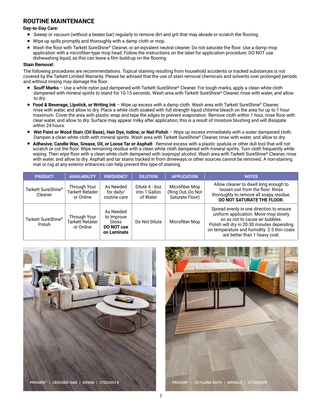## **ROUTINE MAINTENANCE**

#### **Day-to-Day Care:**

- Sweep or vacuum (without a beater bar) regularly to remove dirt and grit that may abrade or scratch the flooring.
- Wipe up spills promptly and thoroughly with a damp cloth or mop.
- Wash the floor with Tarkett SureShine® Cleaner, or an eqivalent neutral cleaner. Do not saturate the floor. Use a damp mop application with a microfiber-type mop head. Follow the instructions on the label for application procedure. DO NOT use dishwashing liquid, as this can leave a film build-up on the flooring.

#### **Stain Removal:**

The following procedures are recommendations. Topical staining resulting from household accidents or tracked substances is not covered by the Tarkett Limited Warranty. Please be advised that the use of stain removal chemicals and solvents over prolonged periods and without rinsing may damage the floor.

- **Scuff Marks** Use a white nylon pad dampened with Tarkett SureShine® Cleaner. For tough marks, apply a clean white cloth dampened with mineral spirits to stand for 10-15 seconds. Wash area with Tarkett SureShine® Cleaner, rinse with water, and allow to dry.
- **Food & Beverage, Lipstick, or Writing Ink** Wipe up excess with a damp cloth. Wash area with Tarkett SureShine® Cleaner, rinse with water, and allow to dry. Place a white cloth soaked with full strength liquid chlorine bleach on the area for up to 1 hour maximum. Cover the area with plastic wrap and tape the edges to prevent evaporation. Remove cloth within 1 hour, rinse floor with clear water, and allow to dry. Surface may appear milky after application, this is a result of moisture blushing and will dissipate within 24 hours.
- **Wet Paint or Wood Stain (Oil Base), Hair Dye, Iodine, or Nail Polish** Wipe up excess immediately with a water dampened cloth. Dampen a clean white cloth with mineral spirits. Wash area with Tarkett SureShine® Cleaner, rinse with water, and allow to dry.
- **Adhesive, Candle Wax, Grease, Oil, or Loose Tar or Asphalt** Remove excess with a plastic spatula or other dull tool that will not scratch or cut the floor. Wipe remaining residue with a clean white cloth dampened with mineral spirits. Turn cloth frequently while wiping. Then wipe floor with a clean white cloth dampened with isopropyl alcohol. Wash area with Tarkett SureShine® Cleaner, rinse with water, and allow to dry. Asphalt and tar stains tracked in from driveways or other sources cannot be removed. A non-staining mat or rug at any exterior entrances can help prevent this type of staining.

| <b>PRODUCT</b>                | <b>AVAILABILITY</b>                                  | <b>FREQUENCY</b>                                              | <b>DILUTION</b>                             | <b>APPLICATION</b>                                     | <b>NOTES</b>                                                                                                                                                                                                                                      |
|-------------------------------|------------------------------------------------------|---------------------------------------------------------------|---------------------------------------------|--------------------------------------------------------|---------------------------------------------------------------------------------------------------------------------------------------------------------------------------------------------------------------------------------------------------|
| Tarkett SureShine®<br>Cleaner | Through Your<br><b>Tarkett Retailer</b><br>or Online | As Needed<br>for daily/<br>routine care                       | Dilute 4 - 6oz<br>into 1 Gallon<br>of Water | Microfiber Mop<br>(Ring Out, Do Not<br>Saturate Floor) | Allow cleaner to dwell long enough to<br>loosen soil from the floor. Rinse<br>thoroughly to remove all soapy residue.<br>DO NOT SATURATE THE FLOOR.                                                                                               |
| Tarkett SureShine®<br>Polish  | Through Your<br><b>Tarkett Retailer</b><br>or Online | As Needed<br>to Improve<br>Gloss<br>DO NOT use<br>on Laminate | Do Not Dilute                               | Microfiber Mop                                         | Spread evenly in one direction to ensure<br>uniform application. Move mop slowly<br>so as not to cause air bubbles.<br>Polish will dry in 20-30 minutes depending<br>on temperature and humidity. 2-3 thin coats<br>are better than 1 heavy coat. |